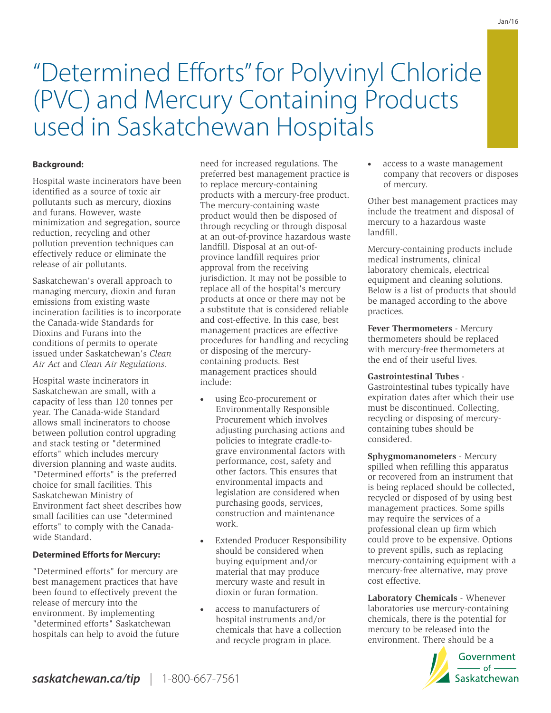# "Determined Efforts" for Polyvinyl Chloride (PVC) and Mercury Containing Products used in Saskatchewan Hospitals

## **Background:**

Hospital waste incinerators have been identified as a source of toxic air pollutants such as mercury, dioxins and furans. However, waste minimization and segregation, source reduction, recycling and other pollution prevention techniques can effectively reduce or eliminate the release of air pollutants.

Saskatchewan's overall approach to managing mercury, dioxin and furan emissions from existing waste incineration facilities is to incorporate the Canada-wide Standards for Dioxins and Furans into the conditions of permits to operate issued under Saskatchewan's *Clean Air Act* and *Clean Air Regulations*.

Hospital waste incinerators in Saskatchewan are small, with a capacity of less than 120 tonnes per year. The Canada-wide Standard allows small incinerators to choose between pollution control upgrading and stack testing or "determined efforts" which includes mercury diversion planning and waste audits. "Determined efforts" is the preferred choice for small facilities. This Saskatchewan Ministry of Environment fact sheet describes how small facilities can use "determined efforts" to comply with the Canadawide Standard.

#### **Determined Efforts for Mercury:**

"Determined efforts" for mercury are best management practices that have been found to effectively prevent the release of mercury into the environment. By implementing "determined efforts" Saskatchewan hospitals can help to avoid the future need for increased regulations. The preferred best management practice is to replace mercury-containing products with a mercury-free product. The mercury-containing waste product would then be disposed of through recycling or through disposal at an out-of-province hazardous waste landfill. Disposal at an out-ofprovince landfill requires prior approval from the receiving jurisdiction. It may not be possible to replace all of the hospital's mercury products at once or there may not be a substitute that is considered reliable and cost-effective. In this case, best management practices are effective procedures for handling and recycling or disposing of the mercurycontaining products. Best management practices should include:

- using Eco-procurement or Environmentally Responsible Procurement which involves adjusting purchasing actions and policies to integrate cradle-tograve environmental factors with performance, cost, safety and other factors. This ensures that environmental impacts and legislation are considered when purchasing goods, services, construction and maintenance work.
- **Extended Producer Responsibility** should be considered when buying equipment and/or material that may produce mercury waste and result in dioxin or furan formation.
- access to manufacturers of hospital instruments and/or chemicals that have a collection and recycle program in place.

access to a waste management company that recovers or disposes of mercury.

Other best management practices may include the treatment and disposal of mercury to a hazardous waste landfill.

Mercury-containing products include medical instruments, clinical laboratory chemicals, electrical equipment and cleaning solutions. Below is a list of products that should be managed according to the above practices.

**Fever Thermometers** - Mercury thermometers should be replaced with mercury-free thermometers at the end of their useful lives.

#### **Gastrointestinal Tubes** -

Gastrointestinal tubes typically have expiration dates after which their use must be discontinued. Collecting, recycling or disposing of mercurycontaining tubes should be considered.

**Sphygmomanometers** - Mercury spilled when refilling this apparatus or recovered from an instrument that is being replaced should be collected, recycled or disposed of by using best management practices. Some spills may require the services of a professional clean up firm which could prove to be expensive. Options to prevent spills, such as replacing mercury-containing equipment with a mercury-free alternative, may prove cost effective.

**Laboratory Chemicals** - Whenever laboratories use mercury-containing chemicals, there is the potential for mercury to be released into the environment. There should be a